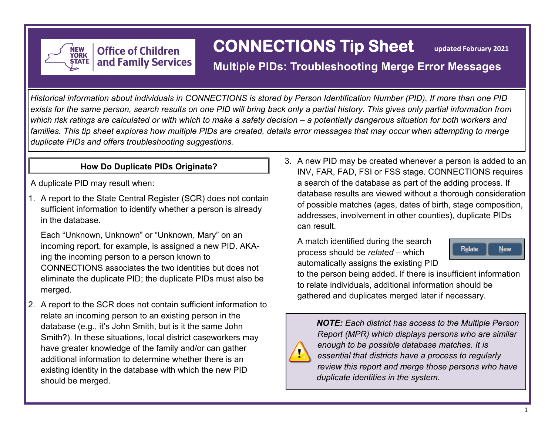

# **CONNECTIONS Tip Sheet**

 **updated February 2021**

# **Multiple PIDs: Troubleshooting Merge Error Messages**

*Historical information about individuals in CONNECTIONS is stored by Person Identification Number (PID). If more than one PID exists for the same person, search results on one PID will bring back only a partial history. This gives only partial information from which risk ratings are calculated or with which to make a safety decision – a potentially dangerous situation for both workers and families. This tip sheet explores how multiple PIDs are created, details error messages that may occur when attempting to merge duplicate PIDs and offers troubleshooting suggestions.* 

**Office of Children** 

and Family Services

A duplicate PID may result when:

1. A report to the State Central Register (SCR) does not contain sufficient information to identify whether a person is already in the database.

Each "Unknown, Unknown" or "Unknown, Mary" on an incoming report, for example, is assigned a new PID. AKAing the incoming person to a person known to CONNECTIONS associates the two identities but does not eliminate the duplicate PID; the duplicate PIDs must also be merged.

2. A report to the SCR does not contain sufficient information to relate an incoming person to an existing person in the database (e.g., it's John Smith, but is it the same John Smith?). In these situations, local district caseworkers may have greater knowledge of the family and/or can gather additional information to determine whether there is an existing identity in the database with which the new PID should be merged.

**How Do Duplicate PIDs Originate?** 3. A new PID may be created whenever a person is added to an **How Do Duplicate PIDs Originate?** 3. A new PID may be created whenever a person is added to an INV, FAR, FAD, FSI or FSS stage. CONNECTIONS requires a search of the database as part of the adding process. If database results are viewed without a thorough consideration of possible matches (ages, dates of birth, stage composition, addresses, involvement in other counties), duplicate PIDs can result.

> A match identified during the search process should be *related* – which automatically assigns the existing PID



to the person being added. If there is insufficient information to relate individuals, additional information should be gathered and duplicates merged later if necessary.



*NOTE: Each district has access to the Multiple Person Report (MPR) which displays persons who are similar enough to be possible database matches. It is essential that districts have a process to regularly review this report and merge those persons who have duplicate identities in the system.*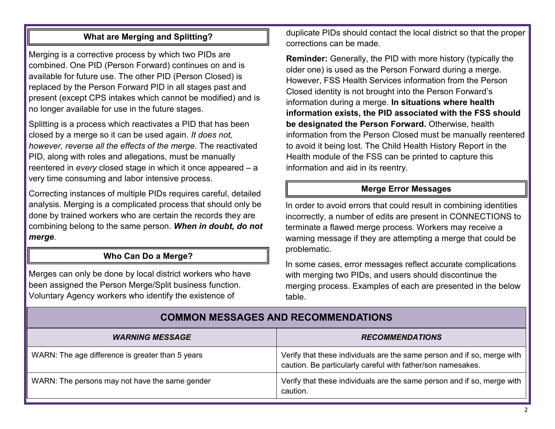### **What are Merging and Splitting?**

Merging is a corrective process by which two PIDs are combined. One PID (Person Forward) continues on and is available for future use. The other PID (Person Closed) is replaced by the Person Forward PID in all stages past and present (except CPS intakes which cannot be modified) and is no longer available for use in the future stages.

Splitting is a process which reactivates a PID that has been closed by a merge so it can be used again. *It does not, however, reverse all the effects of the merge.* The reactivated PID, along with roles and allegations, must be manually reentered in *every* closed stage in which it once appeared – a very time consuming and labor intensive process.

Correcting instances of multiple PIDs requires careful, detailed analysis. Merging is a complicated process that should only be done by trained workers who are certain the records they are combining belong to the same person. *When in doubt, do not merge.* 

#### **Who Can Do a Merge?**

Merges can only be done by local district workers who have been assigned the Person Merge/Split business function. Voluntary Agency workers who identify the existence of

duplicate PIDs should contact the local district so that the proper corrections can be made.

**Reminder:** Generally, the PID with more history (typically the older one) is used as the Person Forward during a merge. However, FSS Health Services information from the Person Closed identity is not brought into the Person Forward's information during a merge. **In situations where health information exists, the PID associated with the FSS should be designated the Person Forward.** Otherwise, health information from the Person Closed must be manually reentered to avoid it being lost. The Child Health History Report in the Health module of the FSS can be printed to capture this information and aid in its reentry.

#### **Merge Error Messages**

In order to avoid errors that could result in combining identities incorrectly, a number of edits are present in CONNECTIONS to terminate a flawed merge process. Workers may receive a warning message if they are attempting a merge that could be problematic.

In some cases, error messages reflect accurate complications with merging two PIDs, and users should discontinue the merging process. Examples of each are presented in the below table.

| <b>WARNING MESSAGE</b>                           | <b>RECOMMENDATIONS</b>                                                                                                                 |
|--------------------------------------------------|----------------------------------------------------------------------------------------------------------------------------------------|
| WARN: The age difference is greater than 5 years | Verify that these individuals are the same person and if so, merge with<br>caution. Be particularly careful with father/son namesakes. |
| WARN: The persons may not have the same gender   | Verify that these individuals are the same person and if so, merge with<br>caution.                                                    |

## **COMMON MESSAGES AND RECOMMENDATIONS**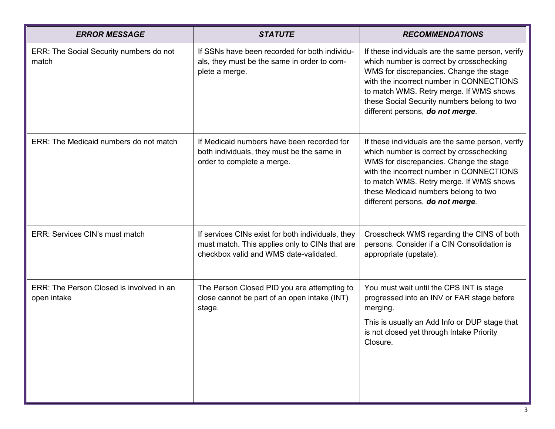| <b>ERROR MESSAGE</b>                                    | <b>STATUTE</b>                                                                                                                                | <b>RECOMMENDATIONS</b>                                                                                                                                                                                                                                                                                            |
|---------------------------------------------------------|-----------------------------------------------------------------------------------------------------------------------------------------------|-------------------------------------------------------------------------------------------------------------------------------------------------------------------------------------------------------------------------------------------------------------------------------------------------------------------|
| ERR: The Social Security numbers do not<br>match        | If SSNs have been recorded for both individu-<br>als, they must be the same in order to com-<br>plete a merge.                                | If these individuals are the same person, verify<br>which number is correct by crosschecking<br>WMS for discrepancies. Change the stage<br>with the incorrect number in CONNECTIONS<br>to match WMS. Retry merge. If WMS shows<br>these Social Security numbers belong to two<br>different persons, do not merge. |
| ERR: The Medicaid numbers do not match                  | If Medicaid numbers have been recorded for<br>both individuals, they must be the same in<br>order to complete a merge.                        | If these individuals are the same person, verify<br>which number is correct by crosschecking<br>WMS for discrepancies. Change the stage<br>with the incorrect number in CONNECTIONS<br>to match WMS. Retry merge. If WMS shows<br>these Medicaid numbers belong to two<br>different persons, do not merge.        |
| ERR: Services CIN's must match                          | If services CINs exist for both individuals, they<br>must match. This applies only to CINs that are<br>checkbox valid and WMS date-validated. | Crosscheck WMS regarding the CINS of both<br>persons. Consider if a CIN Consolidation is<br>appropriate (upstate).                                                                                                                                                                                                |
| ERR: The Person Closed is involved in an<br>open intake | The Person Closed PID you are attempting to<br>close cannot be part of an open intake (INT)<br>stage.                                         | You must wait until the CPS INT is stage<br>progressed into an INV or FAR stage before<br>merging.<br>This is usually an Add Info or DUP stage that<br>is not closed yet through Intake Priority<br>Closure.                                                                                                      |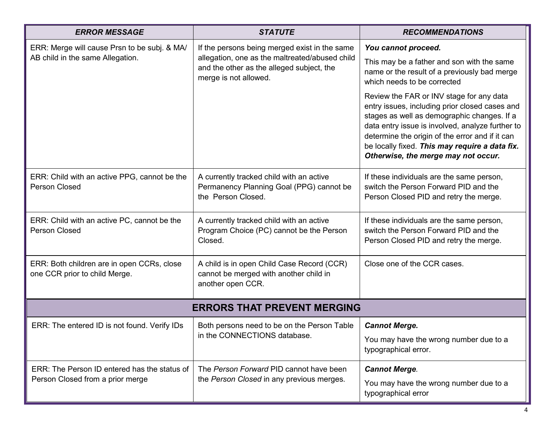| <b>ERROR MESSAGE</b>                                                                                                        | <b>STATUTE</b>                                                                                                                                                        | <b>RECOMMENDATIONS</b>                                                                                                                                                                                                                                                                                                                    |  |  |
|-----------------------------------------------------------------------------------------------------------------------------|-----------------------------------------------------------------------------------------------------------------------------------------------------------------------|-------------------------------------------------------------------------------------------------------------------------------------------------------------------------------------------------------------------------------------------------------------------------------------------------------------------------------------------|--|--|
| ERR: Merge will cause Prsn to be subj. & MA/<br>AB child in the same Allegation.                                            | If the persons being merged exist in the same<br>allegation, one as the maltreated/abused child<br>and the other as the alleged subject, the<br>merge is not allowed. | You cannot proceed.<br>This may be a father and son with the same<br>name or the result of a previously bad merge<br>which needs to be corrected                                                                                                                                                                                          |  |  |
|                                                                                                                             |                                                                                                                                                                       | Review the FAR or INV stage for any data<br>entry issues, including prior closed cases and<br>stages as well as demographic changes. If a<br>data entry issue is involved, analyze further to<br>determine the origin of the error and if it can<br>be locally fixed. This may require a data fix.<br>Otherwise, the merge may not occur. |  |  |
| ERR: Child with an active PPG, cannot be the<br><b>Person Closed</b>                                                        | A currently tracked child with an active<br>Permanency Planning Goal (PPG) cannot be<br>the Person Closed.                                                            | If these individuals are the same person,<br>switch the Person Forward PID and the<br>Person Closed PID and retry the merge.                                                                                                                                                                                                              |  |  |
| ERR: Child with an active PC, cannot be the<br><b>Person Closed</b>                                                         | A currently tracked child with an active<br>Program Choice (PC) cannot be the Person<br>Closed.                                                                       | If these individuals are the same person,<br>switch the Person Forward PID and the<br>Person Closed PID and retry the merge.                                                                                                                                                                                                              |  |  |
| ERR: Both children are in open CCRs, close<br>one CCR prior to child Merge.                                                 | A child is in open Child Case Record (CCR)<br>cannot be merged with another child in<br>another open CCR.                                                             | Close one of the CCR cases.                                                                                                                                                                                                                                                                                                               |  |  |
| <b>ERRORS THAT PREVENT MERGING</b>                                                                                          |                                                                                                                                                                       |                                                                                                                                                                                                                                                                                                                                           |  |  |
| ERR: The entered ID is not found. Verify IDs<br>Both persons need to be on the Person Table<br>in the CONNECTIONS database. | <b>Cannot Merge.</b>                                                                                                                                                  |                                                                                                                                                                                                                                                                                                                                           |  |  |
|                                                                                                                             |                                                                                                                                                                       | You may have the wrong number due to a<br>typographical error.                                                                                                                                                                                                                                                                            |  |  |
| ERR: The Person ID entered has the status of                                                                                | The Person Forward PID cannot have been<br>the Person Closed in any previous merges.                                                                                  | <b>Cannot Merge.</b>                                                                                                                                                                                                                                                                                                                      |  |  |
| Person Closed from a prior merge                                                                                            |                                                                                                                                                                       | You may have the wrong number due to a<br>typographical error                                                                                                                                                                                                                                                                             |  |  |